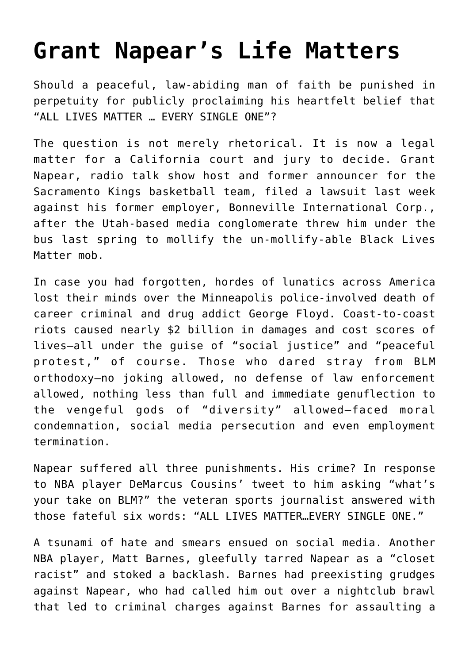## **[Grant Napear's Life Matters](https://intellectualtakeout.org/2021/10/grant-napears-life-matters/)**

Should a peaceful, law-abiding man of faith be punished in perpetuity for publicly proclaiming his heartfelt belief that "ALL LIVES MATTER … EVERY SINGLE ONE"?

The question is not merely rhetorical. It is now a legal matter for a California court and jury to decide. Grant Napear, radio talk show host and former announcer for the Sacramento Kings basketball team, filed a lawsuit last week against his former employer, Bonneville International Corp., after the Utah-based media conglomerate threw him under the bus last spring to mollify the un-mollify-able Black Lives Matter mob.

In case you had forgotten, hordes of lunatics across America lost their minds over the Minneapolis police-involved death of career criminal and drug addict George Floyd. Coast-to-coast riots caused nearly \$2 billion in damages and cost scores of lives—all under the guise of "social justice" and "peaceful protest," of course. Those who dared stray from BLM orthodoxy—no joking allowed, no defense of law enforcement allowed, nothing less than full and immediate genuflection to the vengeful gods of "diversity" allowed—faced moral condemnation, social media persecution and even employment termination.

Napear suffered all three punishments. His crime? In response to NBA player DeMarcus Cousins' tweet to him asking "what's your take on BLM?" the veteran sports journalist answered with those fateful six words: "ALL LIVES MATTER…EVERY SINGLE ONE."

A tsunami of hate and smears ensued on social media. Another NBA player, Matt Barnes, gleefully tarred Napear as a "closet racist" and stoked a backlash. Barnes had preexisting grudges against Napear, who had called him out over a nightclub brawl that led to criminal charges against Barnes for assaulting a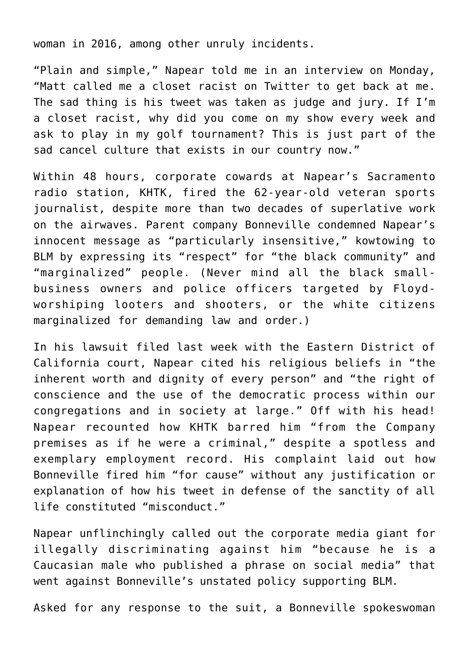woman in 2016, among other unruly incidents.

"Plain and simple," Napear told me in an interview on Monday, "Matt called me a closet racist on Twitter to get back at me. The sad thing is his tweet was taken as judge and jury. If I'm a closet racist, why did you come on my show every week and ask to play in my golf tournament? This is just part of the sad cancel culture that exists in our country now."

Within 48 hours, corporate cowards at Napear's Sacramento radio station, KHTK, fired the 62-year-old veteran sports journalist, despite more than two decades of superlative work on the airwaves. Parent company Bonneville condemned Napear's innocent message as "particularly insensitive," kowtowing to BLM by expressing its "respect" for "the black community" and "marginalized" people. (Never mind all the black smallbusiness owners and police officers targeted by Floydworshiping looters and shooters, or the white citizens marginalized for demanding law and order.)

In his lawsuit filed last week with the Eastern District of California court, Napear cited his religious beliefs in "the inherent worth and dignity of every person" and "the right of conscience and the use of the democratic process within our congregations and in society at large." Off with his head! Napear recounted how KHTK barred him "from the Company premises as if he were a criminal," despite a spotless and exemplary employment record. His complaint laid out how Bonneville fired him "for cause" without any justification or explanation of how his tweet in defense of the sanctity of all life constituted "misconduct."

Napear unflinchingly called out the corporate media giant for illegally discriminating against him "because he is a Caucasian male who published a phrase on social media" that went against Bonneville's unstated policy supporting BLM.

Asked for any response to the suit, a Bonneville spokeswoman